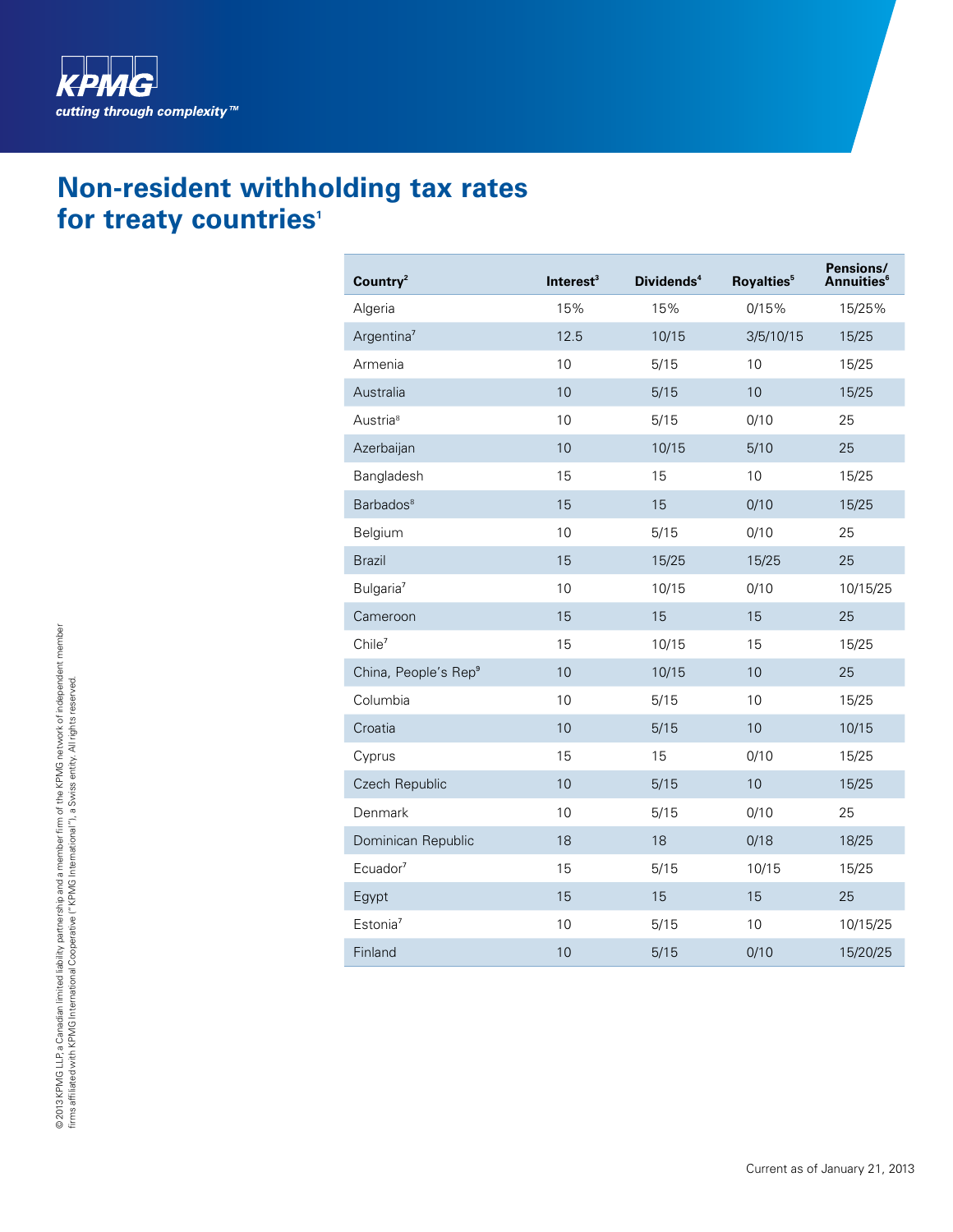

# **Non-resident withholding tax rates**  for treaty countries<sup>1</sup>

| Country <sup>2</sup>             | Interest <sup>3</sup> | Dividends <sup>4</sup> | Royalties <sup>5</sup> | Pensions/<br>Annuities <sup>6</sup> |
|----------------------------------|-----------------------|------------------------|------------------------|-------------------------------------|
| Algeria                          | 15%                   | 15%                    | 0/15%                  | 15/25%                              |
| Argentina <sup>7</sup>           | 12.5                  | 10/15                  | 3/5/10/15              | 15/25                               |
| Armenia                          | 10                    | 5/15                   | 10                     | 15/25                               |
| Australia                        | 10                    | 5/15                   | 10                     | 15/25                               |
| Austria <sup>8</sup>             | 10                    | 5/15                   | 0/10                   | 25                                  |
| Azerbaijan                       | 10                    | 10/15                  | 5/10                   | 25                                  |
| Bangladesh                       | 15                    | 15                     | 10                     | 15/25                               |
| Barbados <sup>8</sup>            | 15                    | 15                     | 0/10                   | 15/25                               |
| Belgium                          | 10                    | 5/15                   | 0/10                   | 25                                  |
| <b>Brazil</b>                    | 15                    | 15/25                  | 15/25                  | 25                                  |
| Bulgaria <sup>7</sup>            | 10                    | 10/15                  | 0/10                   | 10/15/25                            |
| Cameroon                         | 15                    | 15                     | 15                     | 25                                  |
| Chile <sup>7</sup>               | 15                    | 10/15                  | 15                     | 15/25                               |
| China, People's Rep <sup>9</sup> | 10                    | 10/15                  | 10                     | 25                                  |
| Columbia                         | 10                    | 5/15                   | 10                     | 15/25                               |
| Croatia                          | 10                    | 5/15                   | 10                     | 10/15                               |
| Cyprus                           | 15                    | 15                     | 0/10                   | 15/25                               |
| Czech Republic                   | 10                    | 5/15                   | 10                     | 15/25                               |
| Denmark                          | 10                    | 5/15                   | 0/10                   | 25                                  |
| Dominican Republic               | 18                    | 18                     | 0/18                   | 18/25                               |
| Ecuador <sup>7</sup>             | 15                    | 5/15                   | 10/15                  | 15/25                               |
| Egypt                            | 15                    | 15                     | 15                     | 25                                  |
| Estonia <sup>7</sup>             | 10                    | 5/15                   | 10                     | 10/15/25                            |
| Finland                          | 10                    | 5/15                   | 0/10                   | 15/20/25                            |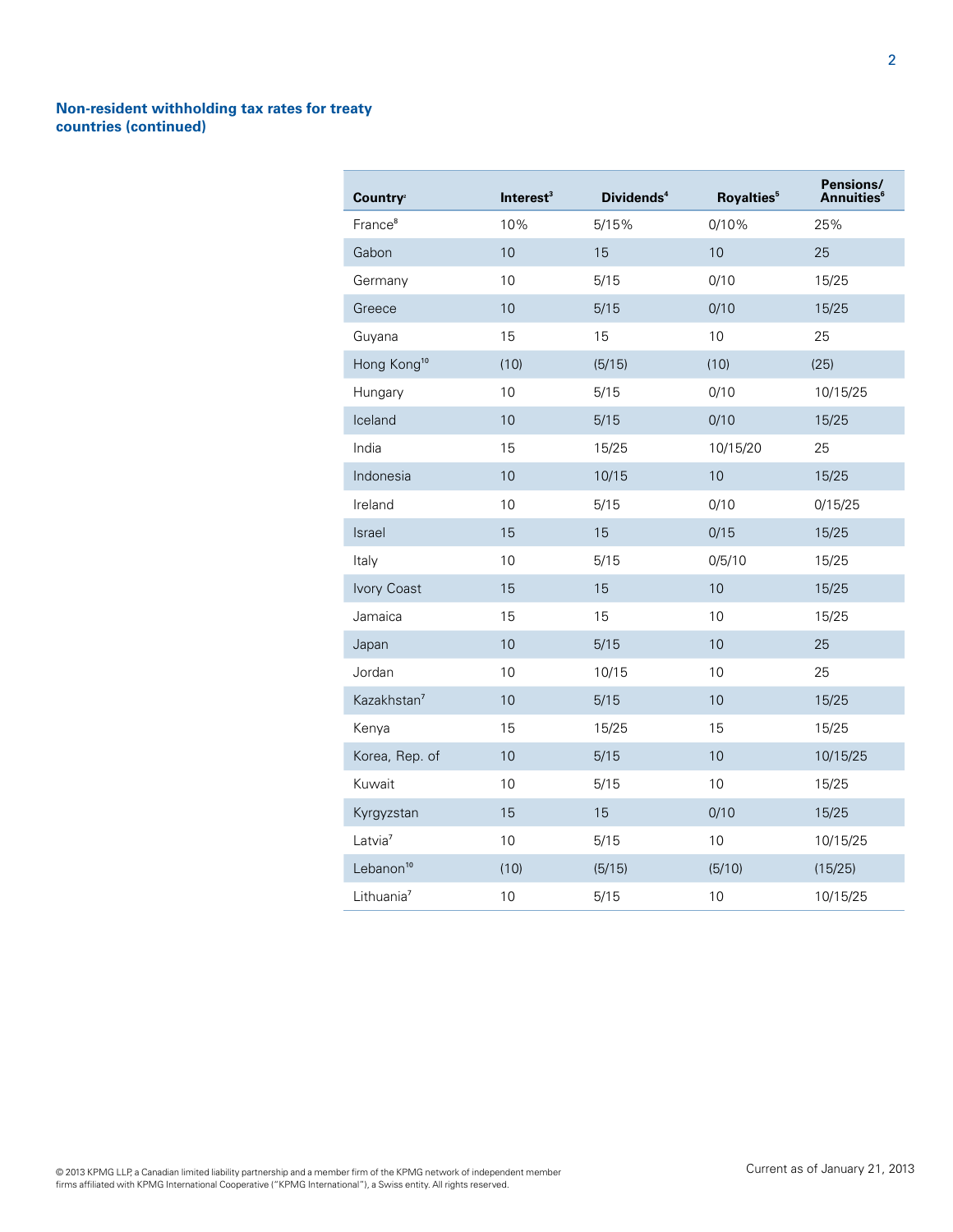| Country <sup>2</sup>    | Interest <sup>3</sup> | Dividends <sup>4</sup> | Royalties <sup>5</sup> | <b>Pensions/</b><br>Annuities <sup>6</sup> |
|-------------------------|-----------------------|------------------------|------------------------|--------------------------------------------|
| France <sup>8</sup>     | 10%                   | 5/15%                  | 0/10%                  | 25%                                        |
| Gabon                   | 10                    | 15                     | 10                     | 25                                         |
| Germany                 | 10                    | 5/15                   | 0/10                   | 15/25                                      |
| Greece                  | 10                    | 5/15                   | 0/10                   | 15/25                                      |
| Guyana                  | 15                    | 15                     | 10                     | 25                                         |
| Hong Kong <sup>10</sup> | (10)                  | (5/15)                 | (10)                   | (25)                                       |
| Hungary                 | 10                    | 5/15                   | 0/10                   | 10/15/25                                   |
| Iceland                 | 10                    | 5/15                   | 0/10                   | 15/25                                      |
| India                   | 15                    | 15/25                  | 10/15/20               | 25                                         |
| Indonesia               | 10                    | 10/15                  | 10                     | 15/25                                      |
| Ireland                 | 10                    | 5/15                   | 0/10                   | 0/15/25                                    |
| Israel                  | 15                    | 15                     | 0/15                   | 15/25                                      |
| Italy                   | 10                    | 5/15                   | 0/5/10                 | 15/25                                      |
| Ivory Coast             | 15                    | 15                     | 10                     | 15/25                                      |
| Jamaica                 | 15                    | 15                     | 10                     | 15/25                                      |
| Japan                   | 10                    | 5/15                   | 10                     | 25                                         |
| Jordan                  | 10                    | 10/15                  | 10                     | 25                                         |
| Kazakhstan <sup>7</sup> | 10                    | 5/15                   | 10                     | 15/25                                      |
| Kenya                   | 15                    | 15/25                  | 15                     | 15/25                                      |
| Korea, Rep. of          | 10                    | 5/15                   | $10$                   | 10/15/25                                   |
| Kuwait                  | 10                    | 5/15                   | 10                     | 15/25                                      |
| Kyrgyzstan              | 15                    | 15                     | 0/10                   | 15/25                                      |
| Latvia <sup>7</sup>     | $10\,$                | 5/15                   | $10$                   | 10/15/25                                   |
| Lebanon <sup>10</sup>   | (10)                  | (5/15)                 | (5/10)                 | (15/25)                                    |
| Lithuania <sup>7</sup>  | 10                    | 5/15                   | 10                     | 10/15/25                                   |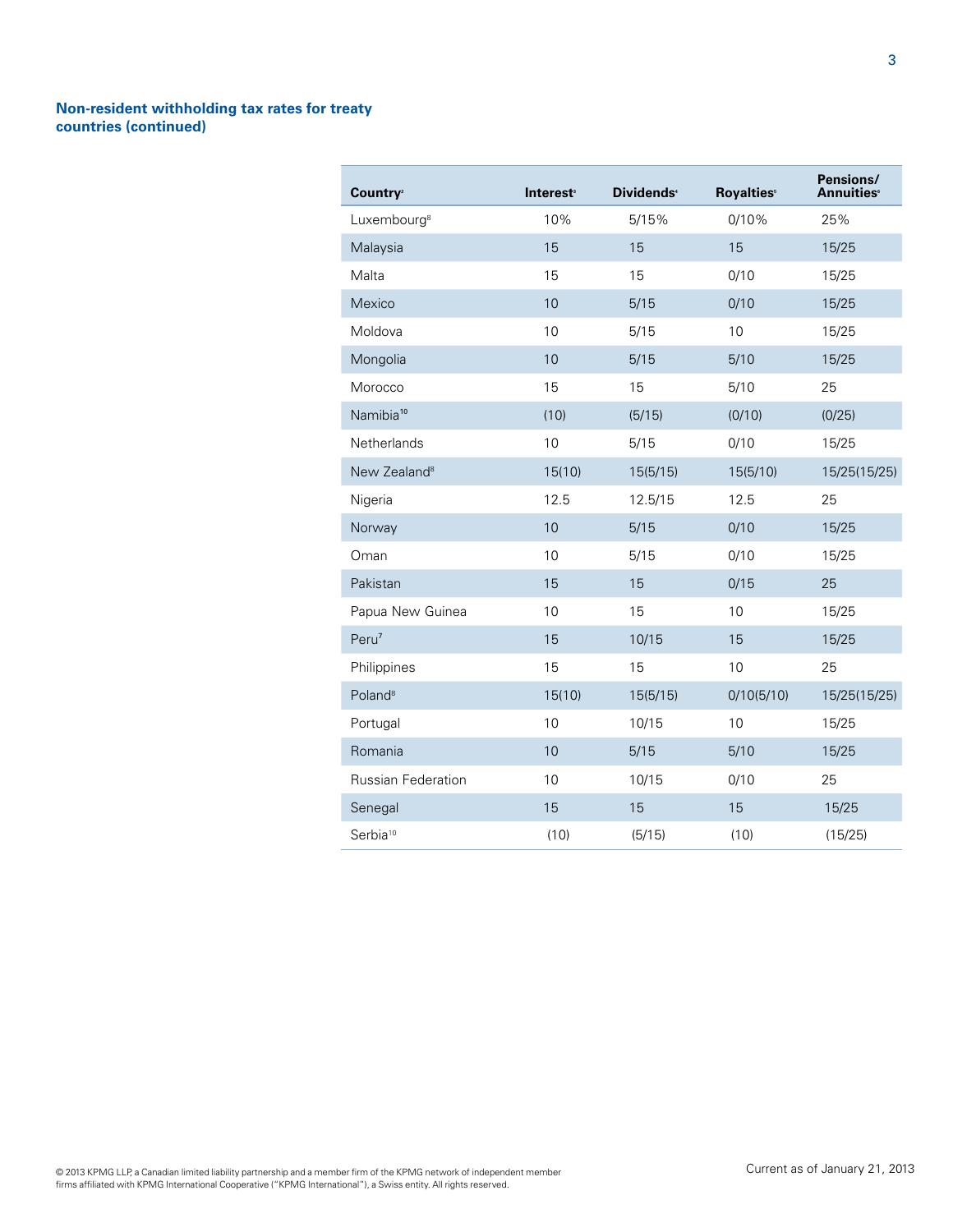| Country <sup>2</sup>     | <b>Interest</b> | <b>Dividends</b> <sup>4</sup> | <b>Royalties</b> <sup>5</sup> | Pensions/<br><b>Annuities</b> <sup>®</sup> |
|--------------------------|-----------------|-------------------------------|-------------------------------|--------------------------------------------|
| Luxembourg <sup>8</sup>  | 10%             | 5/15%                         | 0/10%                         | 25%                                        |
| Malaysia                 | 15              | 15                            | 15                            | 15/25                                      |
| Malta                    | 15              | 15                            | 0/10                          | 15/25                                      |
| Mexico                   | 10              | 5/15                          | 0/10                          | 15/25                                      |
| Moldova                  | 10              | 5/15                          | 10                            | 15/25                                      |
| Mongolia                 | 10              | 5/15                          | 5/10                          | 15/25                                      |
| Morocco                  | 15              | 15                            | 5/10                          | 25                                         |
| Namibia <sup>10</sup>    | (10)            | (5/15)                        | (0/10)                        | (0/25)                                     |
| Netherlands              | 10              | 5/15                          | 0/10                          | 15/25                                      |
| New Zealand <sup>8</sup> | 15(10)          | 15(5/15)                      | 15(5/10)                      | 15/25(15/25)                               |
| Nigeria                  | 12.5            | 12.5/15                       | 12.5                          | 25                                         |
| Norway                   | 10              | 5/15                          | 0/10                          | 15/25                                      |
| Oman                     | 10              | 5/15                          | 0/10                          | 15/25                                      |
| Pakistan                 | 15              | 15                            | 0/15                          | 25                                         |
| Papua New Guinea         | 10              | 15                            | 10                            | 15/25                                      |
| Peru <sup>7</sup>        | 15              | 10/15                         | 15                            | 15/25                                      |
| Philippines              | 15              | 15                            | 10                            | 25                                         |
| Poland <sup>8</sup>      | 15(10)          | 15(5/15)                      | 0/10(5/10)                    | 15/25(15/25)                               |
| Portugal                 | 10              | 10/15                         | 10                            | 15/25                                      |
| Romania                  | 10              | 5/15                          | 5/10                          | 15/25                                      |
| Russian Federation       | 10              | 10/15                         | 0/10                          | 25                                         |
| Senegal                  | 15              | 15                            | 15                            | 15/25                                      |
| Serbia <sup>10</sup>     | (10)            | (5/15)                        | (10)                          | (15/25)                                    |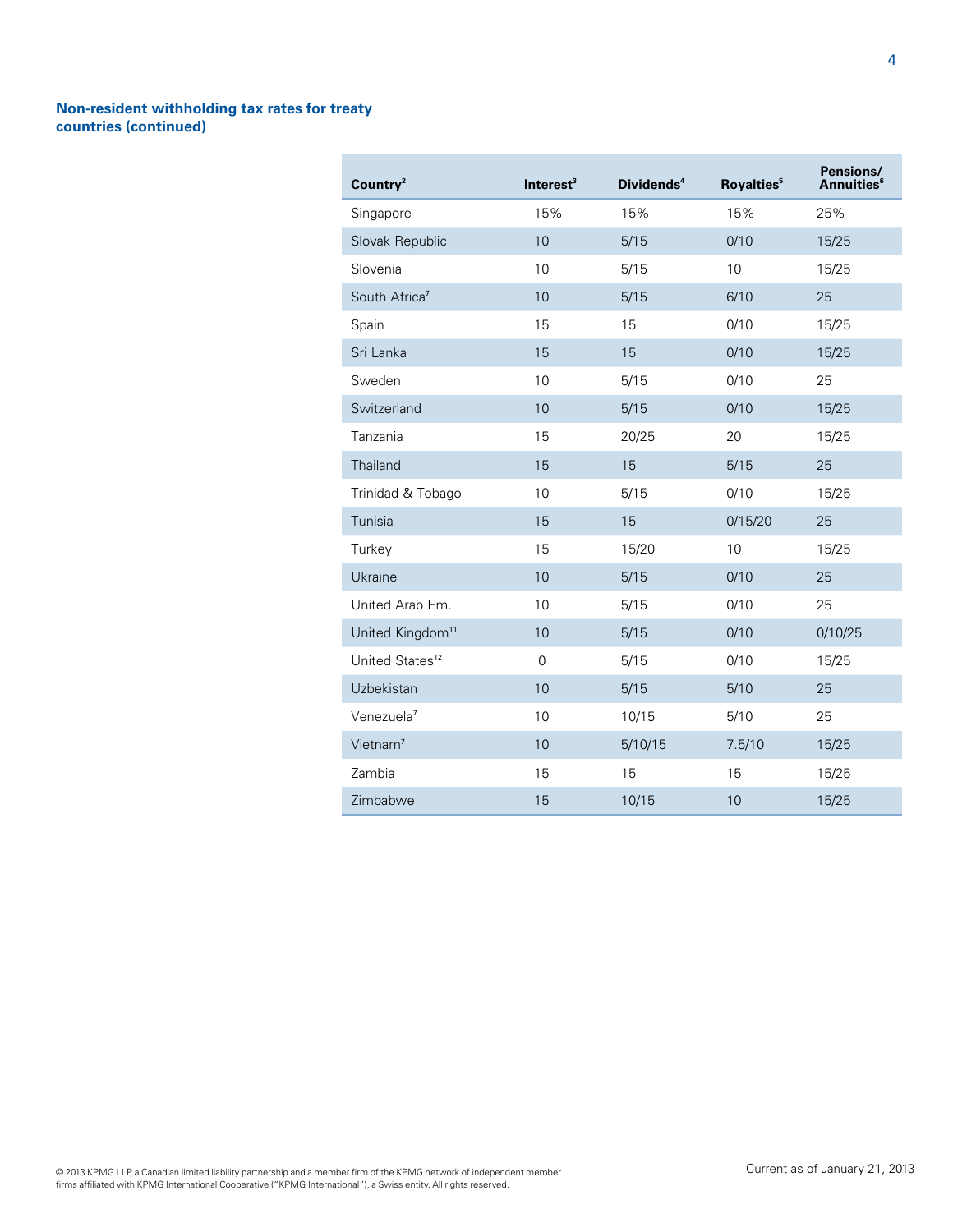| Country <sup>2</sup>         | Interest <sup>3</sup> | Dividends <sup>4</sup> | Royalties <sup>5</sup> | Pensions/<br>Annuities <sup>6</sup> |
|------------------------------|-----------------------|------------------------|------------------------|-------------------------------------|
| Singapore                    | 15%                   | 15%                    | 15%                    | 25%                                 |
| Slovak Republic              | 10                    | 5/15                   | 0/10                   | 15/25                               |
| Slovenia                     | 10                    | 5/15                   | 10                     | 15/25                               |
| South Africa <sup>7</sup>    | 10                    | 5/15                   | 6/10                   | 25                                  |
| Spain                        | 15                    | 15                     | 0/10                   | 15/25                               |
| Sri Lanka                    | 15                    | 15                     | 0/10                   | 15/25                               |
| Sweden                       | 10                    | 5/15                   | 0/10                   | 25                                  |
| Switzerland                  | 10                    | 5/15                   | 0/10                   | 15/25                               |
| Tanzania                     | 15                    | 20/25                  | 20                     | 15/25                               |
| Thailand                     | 15                    | 15                     | 5/15                   | 25                                  |
| Trinidad & Tobago            | 10                    | 5/15                   | 0/10                   | 15/25                               |
| Tunisia                      | 15                    | 15                     | 0/15/20                | 25                                  |
| Turkey                       | 15                    | 15/20                  | 10                     | 15/25                               |
| Ukraine                      | 10                    | 5/15                   | 0/10                   | 25                                  |
| United Arab Em.              | 10                    | 5/15                   | 0/10                   | 25                                  |
| United Kingdom <sup>11</sup> | 10                    | 5/15                   | 0/10                   | 0/10/25                             |
| United States <sup>12</sup>  | $\mathbf 0$           | 5/15                   | 0/10                   | 15/25                               |
| Uzbekistan                   | 10                    | 5/15                   | 5/10                   | 25                                  |
| Venezuela <sup>7</sup>       | 10                    | 10/15                  | 5/10                   | 25                                  |
| Vietnam <sup>7</sup>         | 10                    | 5/10/15                | 7.5/10                 | 15/25                               |
| Zambia                       | 15                    | 15                     | 15                     | 15/25                               |
| Zimbabwe                     | 15                    | 10/15                  | 10                     | 15/25                               |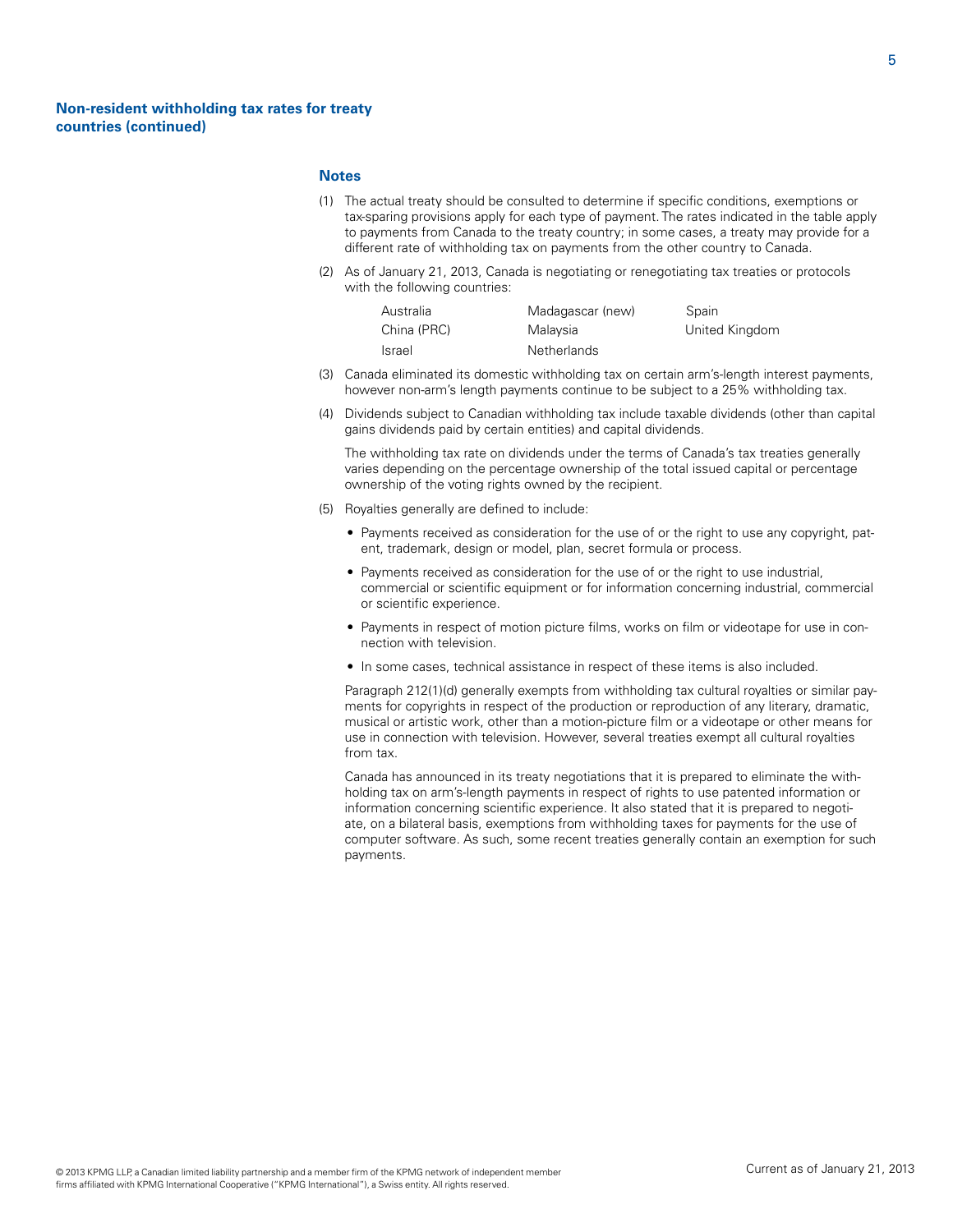#### **Notes**

- (1) The actual treaty should be consulted to determine if specific conditions, exemptions or tax-sparing provisions apply for each type of payment. The rates indicated in the table apply to payments from Canada to the treaty country; in some cases, a treaty may provide for a different rate of withholding tax on payments from the other country to Canada.
- (2) As of January 21, 2013, Canada is negotiating or renegotiating tax treaties or protocols with the following countries:

| Australia   | Madagascar (new)   | <b>Spain</b>   |
|-------------|--------------------|----------------|
| China (PRC) | Malavsia           | United Kingdom |
| Israel      | <b>Netherlands</b> |                |

- (3) Canada eliminated its domestic withholding tax on certain arm's-length interest payments, however non-arm's length payments continue to be subject to a 25% withholding tax.
- (4) Dividends subject to Canadian withholding tax include taxable dividends (other than capital gains dividends paid by certain entities) and capital dividends.

 The withholding tax rate on dividends under the terms of Canada's tax treaties generally varies depending on the percentage ownership of the total issued capital or percentage ownership of the voting rights owned by the recipient.

- (5) Royalties generally are defined to include:
	- Payments received as consideration for the use of or the right to use any copyright, patent, trademark, design or model, plan, secret formula or process.
	- Payments received as consideration for the use of or the right to use industrial, commercial or scientific equipment or for information concerning industrial, commercial or scientific experience.
	- Payments in respect of motion picture films, works on film or videotape for use in connection with television.
	- In some cases, technical assistance in respect of these items is also included.

Paragraph 212(1)(d) generally exempts from withholding tax cultural royalties or similar payments for copyrights in respect of the production or reproduction of any literary, dramatic, musical or artistic work, other than a motion-picture film or a videotape or other means for use in connection with television. However, several treaties exempt all cultural royalties from tax.

Canada has announced in its treaty negotiations that it is prepared to eliminate the withholding tax on arm's-length payments in respect of rights to use patented information or information concerning scientific experience. It also stated that it is prepared to negotiate, on a bilateral basis, exemptions from withholding taxes for payments for the use of computer software. As such, some recent treaties generally contain an exemption for such payments.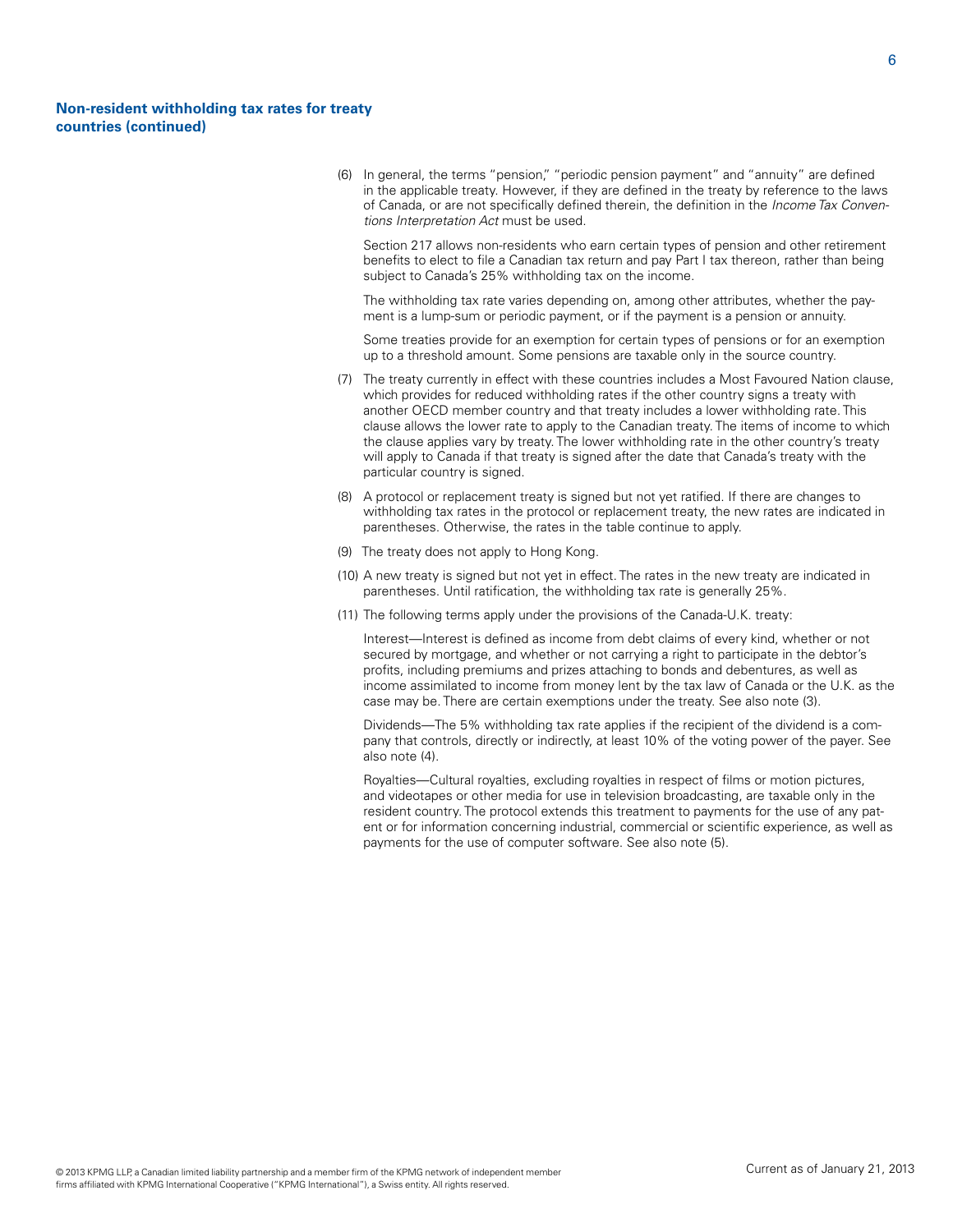(6) In general, the terms "pension," "periodic pension payment" and "annuity" are defined in the applicable treaty. However, if they are defined in the treaty by reference to the laws of Canada, or are not specifically defined therein, the definition in the *Income Tax Conventions Interpretation Act* must be used.

 Section 217 allows non-residents who earn certain types of pension and other retirement benefits to elect to file a Canadian tax return and pay Part I tax thereon, rather than being subject to Canada's 25% withholding tax on the income.

 The withholding tax rate varies depending on, among other attributes, whether the payment is a lump-sum or periodic payment, or if the payment is a pension or annuity.

 Some treaties provide for an exemption for certain types of pensions or for an exemption up to a threshold amount. Some pensions are taxable only in the source country.

- (7) The treaty currently in effect with these countries includes a Most Favoured Nation clause, which provides for reduced withholding rates if the other country signs a treaty with another OECD member country and that treaty includes a lower withholding rate. This clause allows the lower rate to apply to the Canadian treaty. The items of income to which the clause applies vary by treaty. The lower withholding rate in the other country's treaty will apply to Canada if that treaty is signed after the date that Canada's treaty with the particular country is signed.
- (8) A protocol or replacement treaty is signed but not yet ratified. If there are changes to withholding tax rates in the protocol or replacement treaty, the new rates are indicated in parentheses. Otherwise, the rates in the table continue to apply.
- (9) The treaty does not apply to Hong Kong.
- (10) A new treaty is signed but not yet in effect. The rates in the new treaty are indicated in parentheses. Until ratification, the withholding tax rate is generally 25%.
- (11) The following terms apply under the provisions of the Canada-U.K. treaty:

Interest—Interest is defined as income from debt claims of every kind, whether or not secured by mortgage, and whether or not carrying a right to participate in the debtor's profits, including premiums and prizes attaching to bonds and debentures, as well as income assimilated to income from money lent by the tax law of Canada or the U.K. as the case may be. There are certain exemptions under the treaty. See also note (3).

Dividends—The 5% withholding tax rate applies if the recipient of the dividend is a company that controls, directly or indirectly, at least 10% of the voting power of the payer. See also note (4).

Royalties—Cultural royalties, excluding royalties in respect of films or motion pictures, and videotapes or other media for use in television broadcasting, are taxable only in the resident country. The protocol extends this treatment to payments for the use of any patent or for information concerning industrial, commercial or scientific experience, as well as payments for the use of computer software. See also note (5).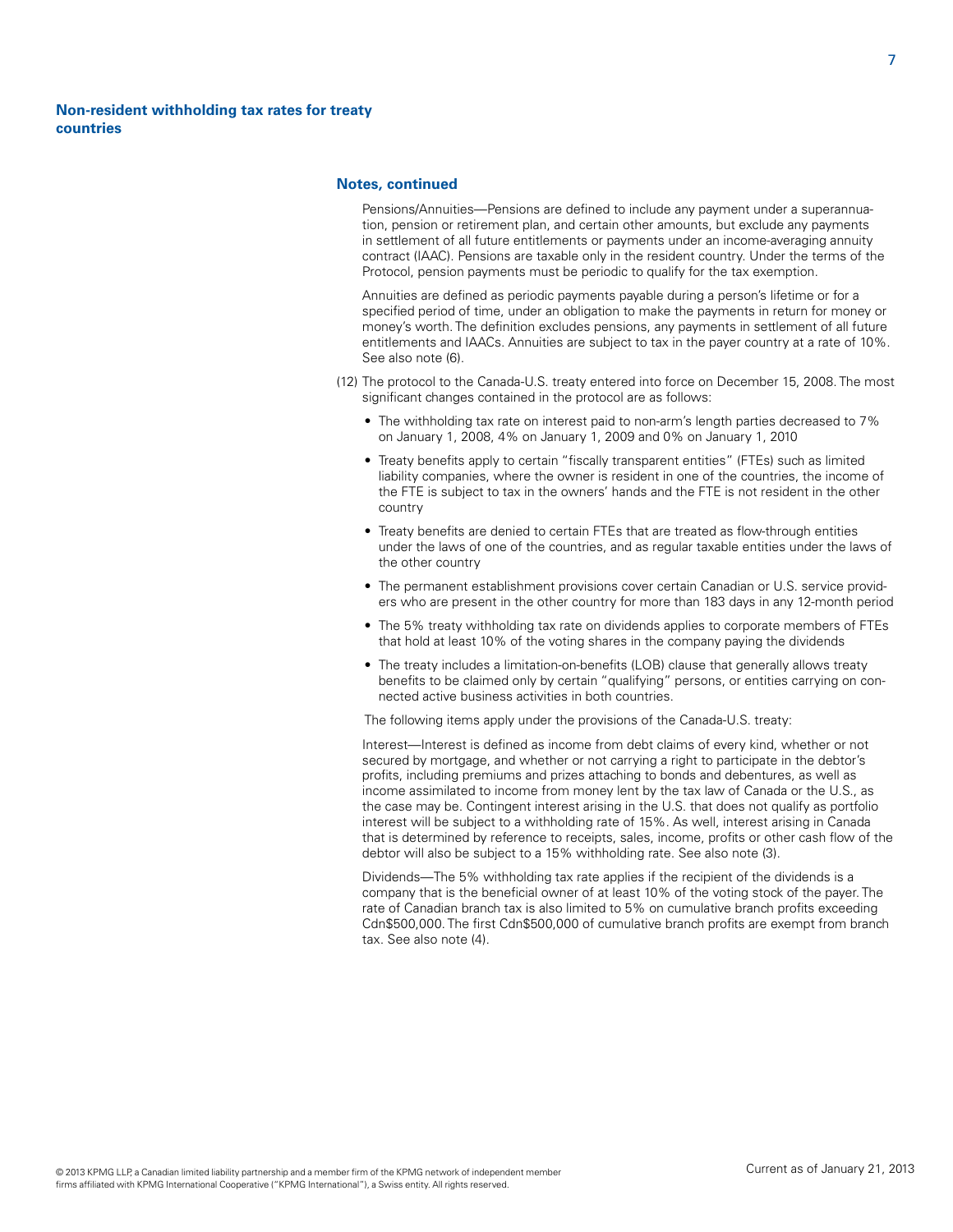#### **Notes, continued**

Pensions/Annuities—Pensions are defined to include any payment under a superannuation, pension or retirement plan, and certain other amounts, but exclude any payments in settlement of all future entitlements or payments under an income-averaging annuity contract (IAAC). Pensions are taxable only in the resident country. Under the terms of the Protocol, pension payments must be periodic to qualify for the tax exemption.

Annuities are defined as periodic payments payable during a person's lifetime or for a specified period of time, under an obligation to make the payments in return for money or money's worth. The definition excludes pensions, any payments in settlement of all future entitlements and IAACs. Annuities are subject to tax in the payer country at a rate of 10%. See also note (6).

- (12) The protocol to the Canada-U.S. treaty entered into force on December 15, 2008. The most significant changes contained in the protocol are as follows:
	- • The withholding tax rate on interest paid to non-arm's length parties decreased to 7% on January 1, 2008, 4% on January 1, 2009 and 0% on January 1, 2010
	- Treaty benefits apply to certain "fiscally transparent entities" (FTEs) such as limited liability companies, where the owner is resident in one of the countries, the income of the FTE is subject to tax in the owners' hands and the FTE is not resident in the other country
	- Treaty benefits are denied to certain FTEs that are treated as flow-through entities under the laws of one of the countries, and as regular taxable entities under the laws of the other country
	- The permanent establishment provisions cover certain Canadian or U.S. service providers who are present in the other country for more than 183 days in any 12-month period
	- The 5% treaty withholding tax rate on dividends applies to corporate members of FTEs that hold at least 10% of the voting shares in the company paying the dividends
	- The treaty includes a limitation-on-benefits (LOB) clause that generally allows treaty benefits to be claimed only by certain "qualifying" persons, or entities carrying on connected active business activities in both countries.

The following items apply under the provisions of the Canada-U.S. treaty:

Interest—Interest is defined as income from debt claims of every kind, whether or not secured by mortgage, and whether or not carrying a right to participate in the debtor's profits, including premiums and prizes attaching to bonds and debentures, as well as income assimilated to income from money lent by the tax law of Canada or the U.S., as the case may be. Contingent interest arising in the U.S. that does not qualify as portfolio interest will be subject to a withholding rate of 15%. As well, interest arising in Canada that is determined by reference to receipts, sales, income, profits or other cash flow of the debtor will also be subject to a 15% withholding rate. See also note (3).

Dividends—The 5% withholding tax rate applies if the recipient of the dividends is a company that is the beneficial owner of at least 10% of the voting stock of the payer. The rate of Canadian branch tax is also limited to 5% on cumulative branch profits exceeding Cdn\$500,000. The first Cdn\$500,000 of cumulative branch profits are exempt from branch tax. See also note (4).